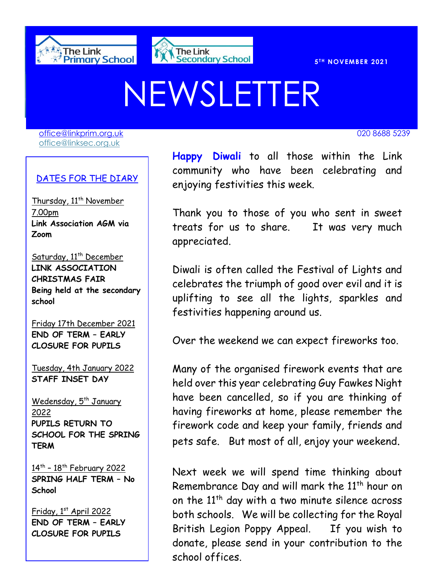



**T H NOVEMBER 2021** 

# NEWSLETTER

[office@linkprim.org.uk](mailto:office@linkprim.org.uk) 020 8688 5239 office@linksec.org.uk

#### DATES FOR THE DIARY

Thursday, 11<sup>th</sup> November 7.00pm **Link Association AGM via Zoom**

Saturday, 11<sup>th</sup> December **LINK ASSOCIATION CHRISTMAS FAIR Being held at the secondary school** 

Friday 17th December 2021 **END OF TERM – EARLY CLOSURE FOR PUPILS**

Tuesday, 4th January 2022 **STAFF INSET DAY**

Wedensday, 5<sup>th</sup> January 2022 **PUPILS RETURN TO SCHOOL FOR THE SPRING TERM**

<u>14th - 18th February 2022</u> **SPRING HALF TERM – No School**

Friday, 1st April 2022 **END OF TERM – EARLY CLOSURE FOR PUPILS**

 community who have been celebrating and **Happy Diwali** to all those within the Link enjoying festivities this week.

> Thank you to those of you who sent in sweet treats for us to share. It was very much appreciated.

> Diwali is often called the Festival of Lights and celebrates the triumph of good over evil and it is uplifting to see all the lights, sparkles and festivities happening around us.

Over the weekend we can expect fireworks too.

Many of the organised firework events that are held over this year celebrating Guy Fawkes Night have been cancelled, so if you are thinking of having fireworks at home, please remember the firework code and keep your family, friends and pets safe. But most of all, enjoy your weekend.

Next week we will spend time thinking about Remembrance Day and will mark the 11<sup>th</sup> hour on on the  $11<sup>th</sup>$  day with a two minute silence across both schools. We will be collecting for the Royal British Legion Poppy Appeal. If you wish to donate, please send in your contribution to the school offices.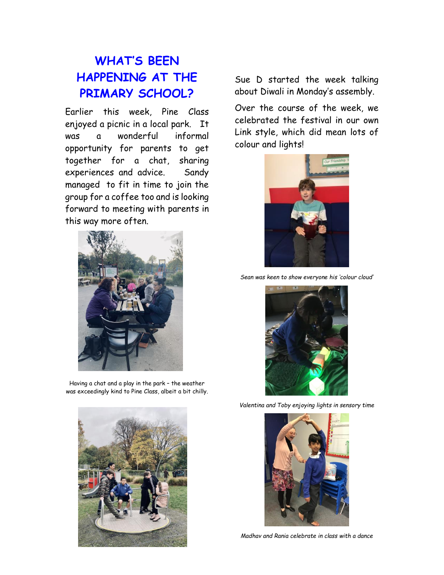## **WHAT'S BEEN HAPPENING AT THE PRIMARY SCHOOL?**

Earlier this week, Pine Class enjoyed a picnic in a local park. It was a wonderful informal opportunity for parents to get together for a chat, sharing experiences and advice. Sandy managed to fit in time to join the group for a coffee too and is looking forward to meeting with parents in this way more often.



Having a chat and a play in the park – the weather was exceedingly kind to Pine Class, albeit a bit chilly.



Sue D started the week talking about Diwali in Monday's assembly.

Over the course of the week, we celebrated the festival in our own Link style, which did mean lots of colour and lights!



*Sean was keen to show everyone his 'colour cloud'*



*Valentina and Toby enjoying lights in sensory time*



*Madhav and Rania celebrate in class with a dance*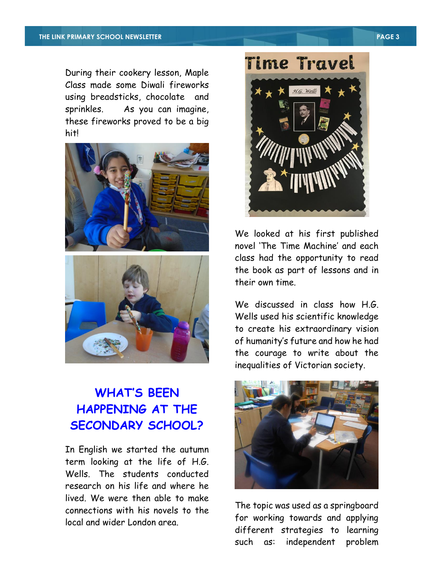During their cookery lesson, Maple Class made some Diwali fireworks using breadsticks, chocolate and sprinkles. As you can imagine, these fireworks proved to be a big hit!





## **WHAT'S BEEN HAPPENING AT THE SECONDARY SCHOOL?**

In English we started the autumn term looking at the life of H.G. Wells. The students conducted research on his life and where he lived. We were then able to make connections with his novels to the local and wider London area.



We looked at his first published novel 'The Time Machine' and each class had the opportunity to read the book as part of lessons and in their own time.

We discussed in class how H.G. Wells used his scientific knowledge to create his extraordinary vision of humanity's future and how he had the courage to write about the inequalities of Victorian society.



The topic was used as a springboard for working towards and applying different strategies to learning such as: independent problem